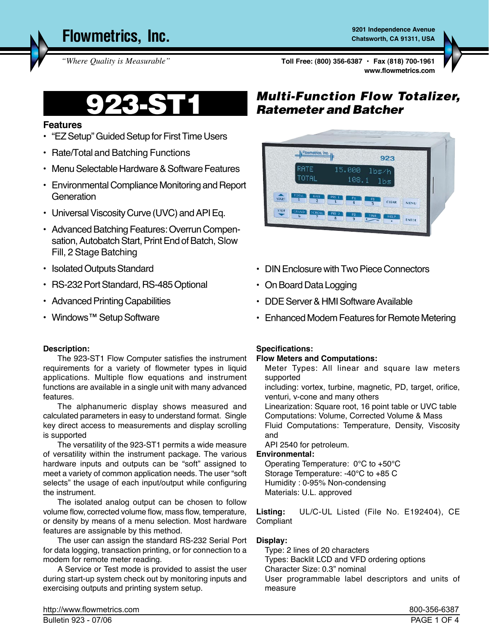**Flowmetrics, Inc. Canadian Control of the Charles Charles Avenue** S201 Independence Avenue

**Chatsworth, CA 91311, USA**

**www.flowmetrics.com** *"Where Quality is Measurable"* **Toll Free: (800) 356-6387 • Fax (818) 700-1961**

# **Features**

- "EZ Setup" Guided Setup for First Time Users
- Rate/Total and Batching Functions
- Menu Selectable Hardware & Software Features
- Environmental Compliance Monitoring and Report **Generation**
- Universal Viscosity Curve (UVC) and API Eq.
- Advanced Batching Features: Overrun Compensation, Autobatch Start, Print End of Batch, Slow Fill, 2 Stage Batching
- Isolated Outputs Standard
- RS-232 Port Standard, RS-485 Optional
- Advanced Printing Capabilities
- Windows™ Setup Software

#### **Description:**

The 923-ST1 Flow Computer satisfies the instrument requirements for a variety of flowmeter types in liquid applications. Multiple flow equations and instrument functions are available in a single unit with many advanced features.

The alphanumeric display shows measured and calculated parameters in easy to understand format. Single key direct access to measurements and display scrolling is supported

The versatility of the 923-ST1 permits a wide measure of versatility within the instrument package. The various hardware inputs and outputs can be "soft" assigned to meet a variety of common application needs. The user "soft selects" the usage of each input/output while configuring the instrument.

The isolated analog output can be chosen to follow volume flow, corrected volume flow, mass flow, temperature, or density by means of a menu selection. Most hardware features are assignable by this method.

The user can assign the standard RS-232 Serial Port for data logging, transaction printing, or for connection to a modem for remote meter reading.

A Service or Test mode is provided to assist the user during start-up system check out by monitoring inputs and exercising outputs and printing system setup.

# *Multi-Function Flow Totalizer,* 923-ST1 *Ratemeter and Batcher*



- DIN Enclosure with Two Piece Connectors
- On Board Data Logging
- DDE Server & HMI Software Available
- Enhanced Modem Features for Remote Metering

#### **Specifications:**

#### **Flow Meters and Computations:**

Meter Types: All linear and square law meters supported

including: vortex, turbine, magnetic, PD, target, orifice, venturi, v-cone and many others

Linearization: Square root, 16 point table or UVC table Computations: Volume, Corrected Volume & Mass Fluid Computations: Temperature, Density, Viscosity and

API 2540 for petroleum.

#### **Environmental:**

Operating Temperature: 0°C to +50°C Storage Temperature: -40°C to +85 C Humidity : 0-95% Non-condensing Materials: U.L. approved

Listing: UL/C-UL Listed (File No. E192404), CE Compliant

# **Display:**

Type: 2 lines of 20 characters Types: Backlit LCD and VFD ordering options Character Size: 0.3" nominal User programmable label descriptors and units of measure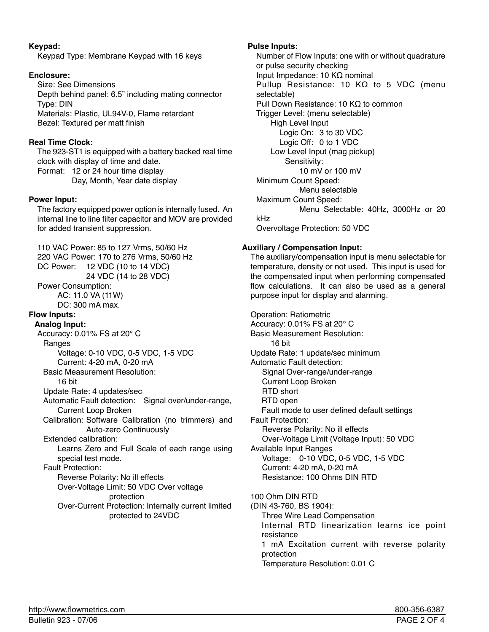## **Keypad:**

Keypad Type: Membrane Keypad with 16 keys

# **Enclosure:**

Size: See Dimensions Depth behind panel: 6.5" including mating connector Type: DIN Materials: Plastic, UL94V-0, Flame retardant Bezel: Textured per matt finish

# **Real Time Clock:**

The 923-ST1 is equipped with a battery backed real time clock with display of time and date. Format: 12 or 24 hour time display

 Day, Month, Year date display

## **Power Input:**

The factory equipped power option is internally fused. An internal line to line filter capacitor and MOV are provided for added transient suppression.

110 VAC Power: 85 to 127 Vrms, 50/60 Hz 220 VAC Power: 170 to 276 Vrms, 50/60 Hz DC Power: 12 VDC (10 to 14 VDC) 24 VDC (14 to 28 VDC) Power Consumption: AC: 11.0 VA (11W) DC: 300 mA max. **Flow Inputs: Analog Input:** Accuracy: 0.01% FS at 20° C Ranges Voltage: 0-10 VDC, 0-5 VDC, 1-5 VDC Current: 4-20 mA, 0-20 mA Basic Measurement Resolution: 16 bit Update Rate: 4 updates/sec Automatic Fault detection: Signal over/under-range, Current Loop Broken Calibration: Software Calibration (no trimmers) and Auto-zero Continuously Extended calibration: Learns Zero and Full Scale of each range using special test mode. Fault Protection: Reverse Polarity: No ill effects Over-Voltage Limit: 50 VDC Over voltage protection Over-Current Protection: Internally current limited protected to 24VDC

# **Pulse Inputs:**

Number of Flow Inputs: one with or without quadrature or pulse security checking Input Impedance: 10 KΩ nominal Pullup Resistance: 10 KΩ to 5 VDC (menu selectable) Pull Down Resistance: 10 KΩ to common Trigger Level: (menu selectable) High Level Input Logic On: 3 to 30 VDC Logic Off: 0 to 1 VDC Low Level Input (mag pickup) Sensitivity: 10 mV or 100 mV Minimum Count Speed: Menu selectable Maximum Count Speed: Menu Selectable: 40Hz, 3000Hz or 20 kHz Overvoltage Protection: 50 VDC

# **Auxiliary / Compensation Input:**

The auxiliary/compensation input is menu selectable for temperature, density or not used. This input is used for the compensated input when performing compensated flow calculations. It can also be used as a general purpose input for display and alarming.

Operation: Ratiometric Accuracy: 0.01% FS at 20° C Basic Measurement Resolution: 16 bit Update Rate: 1 update/sec minimum Automatic Fault detection: Signal Over-range/under-range Current Loop Broken RTD short RTD open Fault mode to user defined default settings Fault Protection: Reverse Polarity: No ill effects Over-Voltage Limit (Voltage Input): 50 VDC Available Input Ranges Voltage: 0-10 VDC, 0-5 VDC, 1-5 VDC Current: 4-20 mA, 0-20 mA Resistance: 100 Ohms DIN RTD 100 Ohm DIN RTD (DIN 43-760, BS 1904): Three Wire Lead Compensation Internal RTD linearization learns ice point resistance 1 mA Excitation current with reverse polarity

protection

 Temperature Resolution: 0.01 C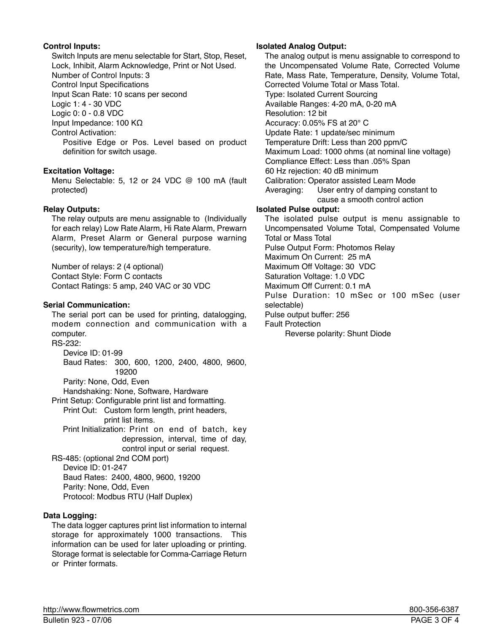# **Control Inputs:**

Switch Inputs are menu selectable for Start, Stop, Reset, Lock, Inhibit, Alarm Acknowledge, Print or Not Used. Number of Control Inputs: 3 Control Input Specifications Input Scan Rate: 10 scans per second Logic 1: 4 - 30 VDC Logic 0: 0 - 0.8 VDC Input Impedance: 100 KΩ Control Activation: Positive Edge or Pos. Level based on product definition for switch usage.

# **Excitation Voltage:**

Menu Selectable: 5, 12 or 24 VDC @ 100 mA (fault protected)

## **Relay Outputs:**

The relay outputs are menu assignable to (Individually for each relay) Low Rate Alarm, Hi Rate Alarm, Prewarn Alarm, Preset Alarm or General purpose warning (security), low temperature/high temperature.

Number of relays: 2 (4 optional) Contact Style: Form C contacts Contact Ratings: 5 amp, 240 VAC or 30 VDC

## **Serial Communication:**

The serial port can be used for printing, datalogging, modem connection and communication with a computer. RS-232:

 Device ID: 01-99 Baud Rates: 300, 600, 1200, 2400, 4800, 9600, 19200 Parity: None, Odd, Even Handshaking: None, Software, Hardware Print Setup: Configurable print list and formatting. Print Out: Custom form length, print headers, print list items. Print Initialization: Print on end of batch, key depression, interval, time of day, control input or serial request. RS-485: (optional 2nd COM port) Device ID: 01-247 Baud Rates: 2400, 4800, 9600, 19200

 Parity: None, Odd, Even Protocol: Modbus RTU (Half Duplex)

# **Data Logging:**

The data logger captures print list information to internal storage for approximately 1000 transactions. This information can be used for later uploading or printing. Storage format is selectable for Comma-Carriage Return or Printer formats.

#### **Isolated Analog Output:**

The analog output is menu assignable to correspond to the Uncompensated Volume Rate, Corrected Volume Rate, Mass Rate, Temperature, Density, Volume Total, Corrected Volume Total or Mass Total. Type: Isolated Current Sourcing Available Ranges: 4-20 mA, 0-20 mA Resolution: 12 bit Accuracy: 0.05% FS at 20° C Update Rate: 1 update/sec minimum Temperature Drift: Less than 200 ppm/C Maximum Load: 1000 ohms (at nominal line voltage) Compliance Effect: Less than .05% Span 60 Hz rejection: 40 dB minimum Calibration: Operator assisted Learn Mode Averaging: User entry of damping constant to cause a smooth control action **Isolated Pulse output:** The isolated pulse output is menu assignable to

Uncompensated Volume Total, Compensated Volume Total or Mass Total Pulse Output Form: Photomos Relay Maximum On Current: 25 mA Maximum Off Voltage: 30 VDC Saturation Voltage: 1.0 VDC Maximum Off Current: 0.1 mA Pulse Duration: 10 mSec or 100 mSec (user selectable) Pulse output buffer: 256 Fault Protection Reverse polarity: Shunt Diode